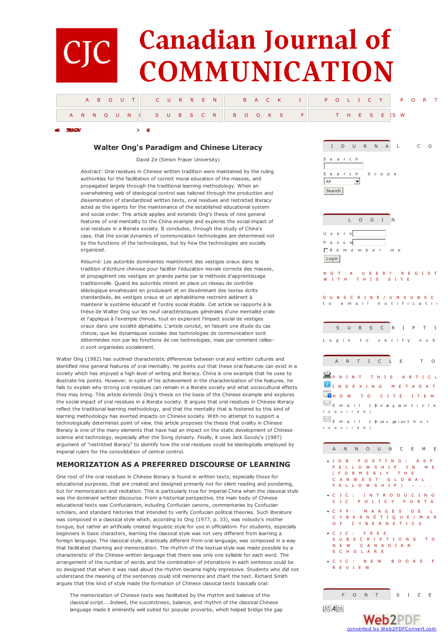# **Canadian Journal of IC COMMUNICATION**

|  | A B OUT CURREN BACK I POLICY PORT |  |
|--|-----------------------------------|--|
|  |                                   |  |

## **Walter Ong's Paradigm and Chinese Literacy**

**[emoH](http://www.cjc-online.ca/index.php/journal/index) )59>1(4oN,[02loV](http://www.cjc-online.ca/index.php/journal/issue/view/75/showToc) > [eZ](#page-4-0)**

David Ze (Simon Fraser University)

*Abstract:* Oral residues in Chinese written tradition were maintained by the ruling authorities for the facilitation of correct moral education of the masses, and propagated largely through the traditional learning methodology. When an overwhelming web of ideological control was tailored through the production and dissemination of standardized written texts, oral residues and restricted literacy acted as the agents for the maintenance of the established educational system and social order. This article applies and extends Ong's thesis of nine general features of oral mentality to the China example and explores the social impact of oral residues in a literate society. It concludes, through the study of China's case, that the social dynamics of communication technologies are determined not by the functions of the technologies, but by how the technologies are socially organized.

*Résumé:* Les autorités dominantes maintinrent des vestiges oraux dans la tradition d'écriture chinoise pour faciliter l'éducation morale correcte des masses, et propagèrent ces vestiges en grande partie par la méthode d'apprentissage traditionnelle. Quand les autorités mirent en place un réseau de contrôle idéologique envahissant en produisant et en disséminant des textes écrits standardisés, les vestiges oraux et un alphabétisme restreint aidèrent à maintenir le système éducatif et l'ordre social établis. Cet article se rapporte à la thèse de Walter Ong sur les neuf caractéristiques générales d'une mentalité orale et l'applique à l'exemple chinois, tout en explorant l'impact social de vestiges oraux dans une société alphabète. L'article conclut, en faisant une étude du cas chinois, que les dynamiques sociales des technologies de communication sont déterminées non par les fonctions de ces technologies, mais par comment cellesci sont organisées socialement.

Walter Ong (1982) has outlined characteristic differences between oral and written cultures and identified nine general features of oral mentality. He points out that these oral features can exist in a society which has enjoyed a high level of writing and literacy. China is one example that he uses to illustrate his points. However, in spite of his achievement in the characterization of the features, he fails to explain why strong oral residues can remain in a literate society and what sociocultural effects they may bring. This article extends Ong's thesis on the basis of the Chinese example and explores the social impact of oral residues in a literate society. It argues that oral residues in Chinese literacy reflect the traditional learning methodology, and that the mentality that is fostered by this kind of learning methodology has exerted impacts on Chinese society. With no attempt to support a technologically determinist point of view, this article proposes the thesis that orality in Chinese literacy is one of the many elements that have had an impact on the static development of Chinese science and technology, especially after the Song dynasty. Finally, it uses Jack Goody's (1987) argument of "restricted literacy" to identify how the oral residues could be ideologically employed by imperial rulers for the consolidation of central control.

## **MEMORIZATION AS A PREFERRED DISCOURSE OF LEARNING**

One root of the oral residues in Chinese literacy is found in written texts, especially those for educational purposes, that are created and designed primarily not for silent reading and pondering, but for memorization and recitation. This is particularly true for imperial China when the classical style was the dominant written discourse. From a historical perspective, the main body of Chinese educational texts was Confucianism, including Confucian canons, commentaries by Confucian scholars, and standard histories that intended to verify Confucian political theories. Such literature was composed in a classical style which, according to Ong (1977, p. 33), was nobody's mother tongue, but rather an artificially created linguistic style for use in officialdom. For students, especially beginners in basic characters, learning the classical style was not very different from learning a foreign language. The classical style, drastically different from oral language, was composed in a way that facilitated chanting and memorization. The rhythm of the textual style was made possible by a characteristic of the Chinese written language that there was only one syllable for each word. The arrangement of the number of words and the combination of intonations in each sentence could be so designed that when it was read aloud the rhythm became highly impressive. Students who did not understand the meaning of the sentences could still memorize and chant the text. Richard Smith argues that this kind of style made the formation of Chinese classical texts basically oral:

The memorization of Chinese texts was facilitated by the rhythm and balance of the classical script....Indeed, the succinctness, balance, and rhythm of the classical Chinese language made it eminently well suited for popular proverbs, which helped bridge the gap



| S C R I P T I<br>$\cup$<br>$\overline{B}$<br>S                                    |
|-----------------------------------------------------------------------------------|
| Login to verify sub                                                               |
| T I C L<br>A<br>E<br>T O<br>$\mathsf{R}$                                          |
| EPRINT THIS ARTICL                                                                |
| INDEXING METADAT                                                                  |
| <b>C</b> HOW TO CITE ITEM                                                         |
| Email thuisgianrticle<br>required)                                                |
| $\mathbb{R}$ Email theogaiunth or                                                 |
| required)                                                                         |
|                                                                                   |
| $\cup$<br>N C E M E<br>N.<br>N.<br>$\circ$<br>$\overline{A}$                      |
| POSTING: ASPI<br>$\bullet$ J O<br>$\overline{B}$                                  |
| LLOWSHIP IN<br>F E<br>M E<br>FORMERLY THE<br>C                                    |
| A N W E S T G L O B A L<br>C.<br>L L O W S H I P )<br>F.<br>Е<br><b>CHANNEL</b>   |
| $\bullet$ C<br>JC: INTRODUCING                                                    |
| POLICY PORTA<br>C<br>J C                                                          |
| $\bullet$ C<br>F.<br>P<br>: MARGES DE<br>$L_{\rm{H}}$<br>BERNÉTIQUE/MAR<br>c<br>Y |
| C Y B E R N E T I C S<br>$\circ$<br>F.                                            |
| $\bullet$ C<br>J C : F R E E<br>UBSCRIPTIONS TO<br>S                              |
| W CANADIAN<br>Ε.<br>N                                                             |
| CHOLARS<br>S.<br>JC: NEW BOOKS F<br>$\bullet$ C                                   |
| R E V I E W                                                                       |
|                                                                                   |
|                                                                                   |
| $\mathsf F$<br>$\circ$<br>N.<br>Τ<br>S<br>I Z<br>Ε                                |
| $A^*$ $A$ $A$                                                                     |
| eb2l                                                                              |

converted by Web2PDFConvert.com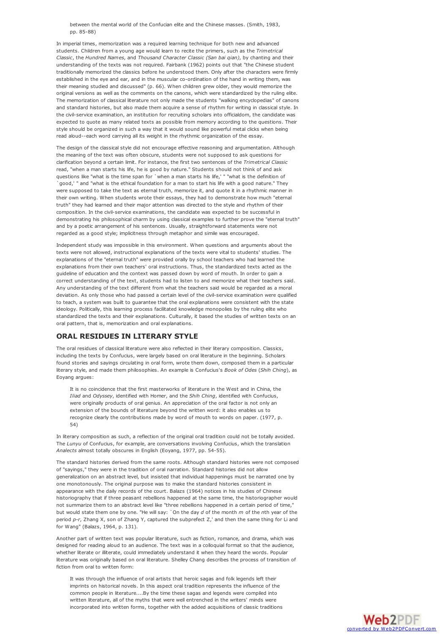between the mental world of the Confucian elite and the Chinese masses. (Smith, 1983, pp. 85-88)

In imperial times, memorization was a required learning technique for both new and advanced students. Children from a young age would learn to recite the primers, such as the *Trimetrical Classic*, the *Hundred Names*, and *Thousand Character Classic (San bai qian)*, by chanting and their understanding of the texts was not required. Fairbank (1962) points out that "the Chinese student traditionally memorized the classics before he understood them. Only after the characters were firmly established in the eye and ear, and in the muscular co-ordination of the hand in writing them, was their meaning studied and discussed" (p. 66). When children grew older, they would memorize the original versions as well as the comments on the canons, which were standardized by the ruling elite. The memorization of classical literature not only made the students "walking encyclopedias" of canons and standard histories, but also made them acquire a sense of rhythm for writing in classical style. In the civil-service examination, an institution for recruiting scholars into officialdom, the candidate was expected to quote as many related texts as possible from memory according to the questions. Their style should be organized in such a way that it would sound like powerful metal clicks when being read aloud--each word carrying all its weight in the rhythmic organization of the essay.

The design of the classical style did not encourage effective reasoning and argumentation. Although the meaning of the text was often obscure, students were not supposed to ask questions for clarification beyond a certain limit. For instance, the first two sentences of the *Trimetrical Classic* read, "when a man starts his life, he is good by nature." Students should not think of and ask questions like "what is the time span for `when a man starts his life,' " "what is the definition of `good,' " and "what is the ethical foundation for a man to start his life with a good nature." They were supposed to take the text as eternal truth, memorize it, and quote it in a rhythmic manner in their own writing. When students wrote their essays, they had to demonstrate how much "eternal truth" they had learned and their major attention was directed to the style and rhythm of their composition. In the civil-service examinations, the candidate was expected to be successful in demonstrating his philosophical charm by using classical examples to further prove the "eternal truth" and by a poetic arrangement of his sentences. Usually, straightforward statements were not regarded as a good style; implicitness through metaphor and simile was encouraged.

Independent study was impossible in this environment. When questions and arguments about the texts were not allowed, instructional explanations of the texts were vital to students' studies. The explanations of the "eternal truth" were provided orally by school teachers who had learned the explanations from their own teachers' oral instructions. Thus, the standardized texts acted as the guideline of education and the context was passed down by word of mouth. In order to gain a correct understanding of the text, students had to listen to and memorize what their teachers said. Any understanding of the text different from what the teachers said would be regarded as a moral deviation. As only those who had passed a certain level of the civil-service examination were qualified to teach, a system was built to guarantee that the oral explanations were consistent with the state ideology. Politically, this learning process facilitated knowledge monopolies by the ruling elite who standardized the texts and their explanations. Culturally, it based the studies of written texts on an oral pattern, that is, memorization and oral explanations.

#### **ORAL RESIDUES IN LITERARY STYLE**

The oral residues of classical literature were also reflected in their literary composition. Classics, including the texts by Confucius, were largely based on oral literature in the beginning. Scholars found stories and sayings circulating in oral form, wrote them down, composed them in a particular literary style, and made them philosophies. An example is Confucius's *Book of Odes* (*Shih Ching*), as Eoyang argues:

It is no coincidence that the first masterworks of literature in the West and in China, the *Iliad* and *Odyssey*, identified with Homer, and the *Shih Ching*, identified with Confucius, were originally products of oral genius. An appreciation of the oral factor is not only an extension of the bounds of literature beyond the written word: it also enables us to recognize clearly the contributions made by word of mouth to words on paper. (1977, p. 54)

In literary composition as such, a reflection of the original oral tradition could not be totally avoided. The *Lunyu* of Confucius, for example, are conversations involving Confucius, which the translation *Analects* almost totally obscures in English (Eoyang, 1977, pp. 54-55).

The standard histories derived from the same roots. Although standard histories were not composed of "sayings," they were in the tradition of oral narration. Standard histories did not allow generalization on an abstract level, but insisted that individual happenings must be narrated one by one monotonously. The original purpose was to make the standard histories consistent in appearance with the daily records of the court. Balazs (1964) notices in his studies of Chinese historiography that if three peasant rebellions happened at the same time, the historiographer would not summarize them to an abstract level like "three rebellions happened in a certain period of time," but would state them one by one. "He will say: `On the day *d* of the month *m* of the *n*th year of the period *p-r*, Zhang X, son of Zhang Y, captured the subprefect Z,' and then the same thing for Li and for Wang" (Balazs, 1964, p. 131).

Another part of written text was popular literature, such as fiction, romance, and drama, which was designed for reading aloud to an audience. The text was in a colloquial format so that the audience, whether literate or illiterate, could immediately understand it when they heard the words. Popular literature was originally based on oral literature. Shelley Chang describes the process of transition of fiction from oral to written form:

It was through the influence of oral artists that heroic sagas and folk legends left their imprints on historical novels. In this aspect oral tradition represents the influence of the common people in literature....By the time these sagas and legends were compiled into written literature, all of the myths that were well entrenched in the writers' minds were incorporated into written forms, together with the added acquisitions of classic traditions

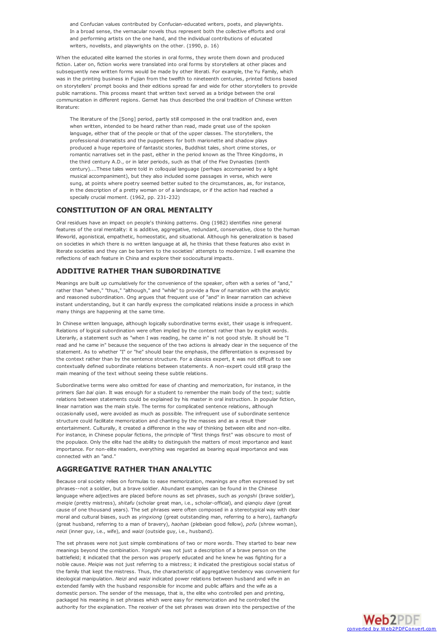and Confucian values contributed by Confucian-educated writers, poets, and playwrights. In a broad sense, the vernacular novels thus represent both the collective efforts and oral and performing artists on the one hand, and the individual contributions of educated writers, novelists, and playwrights on the other. (1990, p. 16)

When the educated elite learned the stories in oral forms, they wrote them down and produced fiction. Later on, fiction works were translated into oral forms by storytellers at other places and subsequently new written forms would be made by other literati. For example, the Yu Family, which was in the printing business in Fujian from the twelfth to nineteenth centuries, printed fictions based on storytellers' prompt books and their editions spread far and wide for other storytellers to provide public narrations. This process meant that written text served as a bridge between the oral communication in different regions. Gernet has thus described the oral tradition of Chinese written literature:

The literature of the [Song] period, partly still composed in the oral tradition and, even when written, intended to be heard rather than read, made great use of the spoken language, either that of the people or that of the upper classes. The storytellers, the professional dramatists and the puppeteers for both marionette and shadow plays produced a huge repertoire of fantastic stories, Buddhist tales, short crime stories, or romantic narratives set in the past, either in the period known as the Three Kingdoms, in the third century A.D., or in later periods, such as that of the Five Dynasties (tenth century)....These tales were told in colloquial language (perhaps accompanied by a light musical accompaniment), but they also included some passages in verse, which were sung, at points where poetry seemed better suited to the circumstances, as, for instance, in the description of a pretty woman or of a landscape, or if the action had reached a specially crucial moment. (1962, pp. 231-232)

#### **CONSTITUTION OF AN ORAL MENTALITY**

Oral residues have an impact on people's thinking patterns. Ong (1982) identifies nine general features of the oral mentality: it is additive, aggregative, redundant, conservative, close to the human lifeworld, agonistical, empathetic, homeostatic, and situational. Although his generalization is based on societies in which there is no written language at all, he thinks that these features also exist in literate societies and they can be barriers to the societies' attempts to modernize. I will examine the reflections of each feature in China and explore their sociocultural impacts.

#### **ADDITIVE RATHER THAN SUBORDINATIVE**

Meanings are built up cumulatively for the convenience of the speaker, often with a series of "and," rather than "when," "thus," "although," and "while" to provide a flow of narration with the analytic and reasoned subordination. Ong argues that frequent use of "and" in linear narration can achieve instant understanding, but it can hardly express the complicated relations inside a process in which many things are happening at the same time.

In Chinese written language, although logically subordinative terms exist, their usage is infrequent. Relations of logical subordination were often implied by the context rather than by explicit words. Literarily, a statement such as "when I was reading, he came in" is not good style. It should be "I read and he came in" because the sequence of the two actions is already clear in the sequence of the statement. As to whether "I" or "he" should bear the emphasis, the differentiation is expressed by the context rather than by the sentence structure. For a classics expert, it was not difficult to see contextually defined subordinate relations between statements. A non-expert could still grasp the main meaning of the text without seeing these subtle relations.

Subordinative terms were also omitted for ease of chanting and memorization, for instance, in the primers *San bai qian*. It was enough for a student to remember the main body of the text; subtle relations between statements could be explained by his master in oral instruction. In popular fiction, linear narration was the main style. The terms for complicated sentence relations, although occasionally used, were avoided as much as possible. The infrequent use of subordinate sentence structure could facilitate memorization and chanting by the masses and as a result their entertainment. Culturally, it created a difference in the way of thinking between elite and non-elite. For instance, in Chinese popular fictions, the principle of "first things first" was obscure to most of the populace. Only the elite had the ability to distinguish the matters of most importance and least importance. For non-elite readers, everything was regarded as bearing equal importance and was connected with an "and."

## **AGGREGATIVE RATHER THAN ANALYTIC**

Because oral society relies on formulas to ease memorization, meanings are often expressed by set phrases--not a soldier, but a brave soldier. Abundant examples can be found in the Chinese language where adjectives are placed before nouns as set phrases, such as *yongshi* (brave soldier), *meiqie* (pretty mistress), *shitafu* (scholar great man, i.e., scholar-official), and *qianqiu daye* (great cause of one thousand years). The set phrases were often composed in a stereotypical way with clear moral and cultural biases, such as *yingxiong* (great outstanding man, referring to a hero), *tazhangfu* (great husband, referring to a man of bravery), *haohan* (plebeian good fellow), *pofu* (shrew woman), *neizi* (inner guy, i.e., wife), and *waizi* (outside guy, i.e., husband).

The set phrases were not just simple combinations of two or more words. They started to bear new meanings beyond the combination. *Yongshi* was not just a description of a brave person on the battlefield; it indicated that the person was properly educated and he knew he was fighting for a noble cause. *Meiqie* was not just referring to a mistress; it indicated the prestigious social status of the family that kept the mistress. Thus, the characteristic of aggregative tendency was convenient for ideological manipulation. *Neizi* and *waizi* indicated power relations between husband and wife in an extended family with the husband responsible for income and public affairs and the wife as a domestic person. The sender of the message, that is, the elite who controlled pen and printing, packaged his meaning in set phrases which were easy for memorization and he controlled the authority for the explanation. The receiver of the set phrases was drawn into the perspective of the

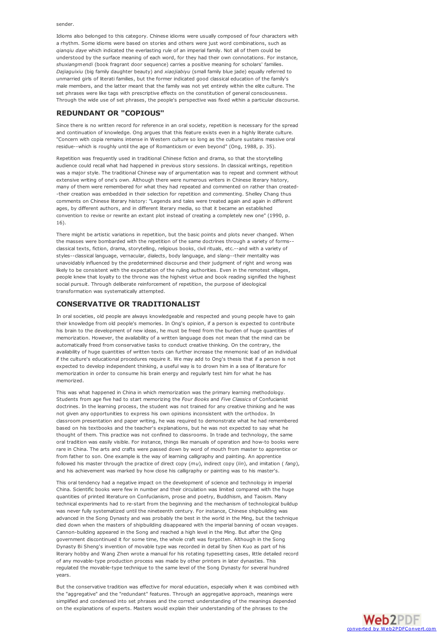sender.

Idioms also belonged to this category. Chinese idioms were usually composed of four characters with a rhythm. Some idioms were based on stories and others were just word combinations, such as *qianqiu daye* which indicated the everlasting rule of an imperial family. Not all of them could be understood by the surface meaning of each word, for they had their own connotations. For instance, *shuxiangmendi* (book fragrant door sequence) carries a positive meaning for scholars' families. *Dajiaguixiu* (big family daughter beauty) and *xiaojiabiyu* (small family blue jade) equally referred to unmarried girls of literati families, but the former indicated good classical education of the family's male members, and the latter meant that the family was not yet entirely within the elite culture. The set phrases were like tags with prescriptive effects on the constitution of general consciousness. Through the wide use of set phrases, the people's perspective was fixed within a particular discourse.

#### **REDUNDANT OR "COPIOUS"**

Since there is no written record for reference in an oral society, repetition is necessary for the spread and continuation of knowledge. Ong argues that this feature exists even in a highly literate culture. "Concern with copia remains intense in Western culture so long as the culture sustains massive oral residue--which is roughly until the age of Romanticism or even beyond" (Ong, 1988, p. 35).

Repetition was frequently used in traditional Chinese fiction and drama, so that the storytelling audience could recall what had happened in previous story sessions. In classical writings, repetition was a major style. The traditional Chinese way of argumentation was to repeat and comment without extensive writing of one's own. Although there were numerous writers in Chinese literary history, many of them were remembered for what they had repeated and commented on rather than created- -their creation was embedded in their selection for repetition and commenting. Shelley Chang thus comments on Chinese literary history: "Legends and tales were treated again and again in different ages, by different authors, and in different literary media, so that it became an established convention to revise or rewrite an extant plot instead of creating a completely new one" (1990, p. 16).

There might be artistic variations in repetition, but the basic points and plots never changed. When the masses were bombarded with the repetition of the same doctrines through a variety of forms- classical texts, fiction, drama, storytelling, religious books, civil rituals, etc.--and with a variety of styles--classical language, vernacular, dialects, body language, and slang--their mentality was unavoidably influenced by the predetermined discourse and their judgment of right and wrong was likely to be consistent with the expectation of the ruling authorities. Even in the remotest villages, people knew that loyalty to the throne was the highest virtue and book reading signified the highest social pursuit. Through deliberate reinforcement of repetition, the purpose of ideological transformation was systematically attempted.

#### **CONSERVATIVE OR TRADITIONALIST**

In oral societies, old people are always knowledgeable and respected and young people have to gain their knowledge from old people's memories. In Ong's opinion, if a person is expected to contribute his brain to the development of new ideas, he must be freed from the burden of huge quantities of memorization. However, the availability of a written language does not mean that the mind can be automatically freed from conservative tasks to conduct creative thinking. On the contrary, the availability of huge quantities of written texts can further increase the mnemonic load of an individual if the culture's educational procedures require it. We may add to Ong's thesis that if a person is not expected to develop independent thinking, a useful way is to drown him in a sea of literature for memorization in order to consume his brain energy and regularly test him for what he has memorized.

This was what happened in China in which memorization was the primary learning methodology. Students from age five had to start memorizing the *Four Books* and *Five Classics* of Confucianist doctrines. In the learning process, the student was not trained for any creative thinking and he was not given any opportunities to express his own opinions inconsistent with the orthodox. In classroom presentation and paper writing, he was required to demonstrate what he had remembered based on his textbooks and the teacher's explanations, but he was not expected to say what he thought of them. This practice was not confined to classrooms. In trade and technology, the same oral tradition was easily visible. For instance, things like manuals of operation and how-to books were rare in China. The arts and crafts were passed down by word of mouth from master to apprentice or from father to son. One example is the way of learning calligraphy and painting. An apprentice followed his master through the practice of direct copy (*mu*), indirect copy (*lin*), and imitation ( *fang*), and his achievement was marked by how close his calligraphy or painting was to his master's.

This oral tendency had a negative impact on the development of science and technology in imperial China. Scientific books were few in number and their circulation was limited compared with the huge quantities of printed literature on Confucianism, prose and poetry, Buddhism, and Taoism. Many technical experiments had to re-start from the beginning and the mechanism of technological buildup was never fully systematized until the nineteenth century. For instance, Chinese shipbuilding was advanced in the Song Dynasty and was probably the best in the world in the Ming, but the technique died down when the masters of shipbuilding disappeared with the imperial banning of ocean voyages. Cannon-building appeared in the Song and reached a high level in the Ming. But after the Qing government discontinued it for some time, the whole craft was forgotten. Although in the Song Dynasty Bi Sheng's invention of movable type was recorded in detail by Shen Kuo as part of his literary hobby and Wang Zhen wrote a manual for his rotating typesetting cases, little detailed record of any movable-type production process was made by other printers in later dynasties. This regulated the movable-type technique to the same level of the Song Dynasty for several hundred years.

But the conservative tradition was effective for moral education, especially when it was combined with the "aggregative" and the "redundant" features. Through an aggregative approach, meanings were simplified and condensed into set phrases and the correct understanding of the meanings depended on the explanations of experts. Masters would explain their understanding of the phrases to the

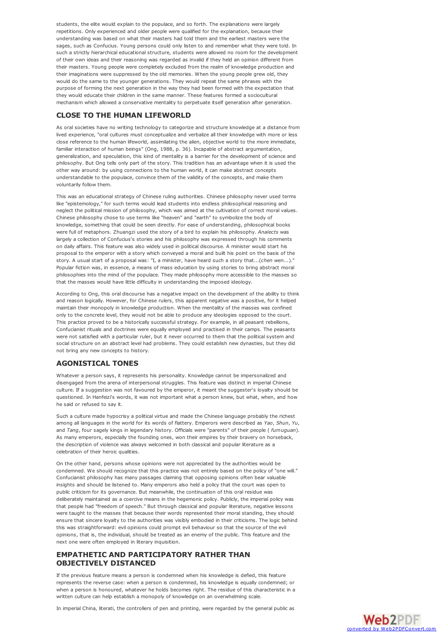<span id="page-4-0"></span>students, the elite would explain to the populace, and so forth. The explanations were largely repetitions. Only experienced and older people were qualified for the explanation, because their understanding was based on what their masters had told them and the earliest masters were the sages, such as Confucius. Young persons could only listen to and remember what they were told. In such a strictly hierarchical educational structure, students were allowed no room for the development of their own ideas and their reasoning was regarded as invalid if they held an opinion different from their masters. Young people were completely excluded from the realm of knowledge production and their imaginations were suppressed by the old memories. When the young people grew old, they would do the same to the younger generations. They would repeat the same phrases with the purpose of forming the next generation in the way they had been formed with the expectation that they would educate their children in the same manner. These features formed a sociocultural mechanism which allowed a conservative mentality to perpetuate itself generation after generation.

#### **CLOSE TO THE HUMAN LIFEWORLD**

As oral societies have no writing technology to categorize and structure knowledge at a distance from lived experience, "oral cultures must conceptualize and verbalize all their knowledge with more or less close reference to the human lifeworld, assimilating the alien, objective world to the more immediate, familiar interaction of human beings" (Ong, 1988, p. 36). Incapable of abstract argumentation, generalization, and speculation, this kind of mentality is a barrier for the development of science and philosophy. But Ong tells only part of the story. This tradition has an advantage when it is used the other way around: by using connections to the human world, it can make abstract concepts understandable to the populace, convince them of the validity of the concepts, and make them voluntarily follow them.

This was an educational strategy of Chinese ruling authorities. Chinese philosophy never used terms like "epistemology," for such terms would lead students into endless philosophical reasoning and neglect the political mission of philosophy, which was aimed at the cultivation of correct moral values. Chinese philosophy chose to use terms like "heaven" and "earth" to symbolize the body of knowledge, something that could be seen directly. For ease of understanding, philosophical books were full of metaphors. Zhuangzi used the story of a bird to explain his philosophy. *Analects* was largely a collection of Confucius's stories and his philosophy was expressed through his comments on daily affairs. This feature was also widely used in political discourse. A minister would start his proposal to the emperor with a story which conveyed a moral and built his point on the basis of the story. A usual start of a proposal was: "I, a minister, have heard such a story that...(*chen wen...*)." Popular fiction was, in essence, a means of mass education by using stories to bring abstract moral philosophies into the mind of the populace. They made philosophy more accessible to the masses so that the masses would have little difficulty in understanding the imposed ideology.

According to Ong, this oral discourse has a negative impact on the development of the ability to think and reason logically. However, for Chinese rulers, this apparent negative was a positive, for it helped maintain their monopoly in knowledge production. When the mentality of the masses was confined only to the concrete level, they would not be able to produce any ideologies opposed to the court. This practice proved to be a historically successful strategy. For example, in all peasant rebellions, Confucianist rituals and doctrines were equally employed and practised in their camps. The peasants were not satisfied with a particular ruler, but it never occurred to them that the political system and social structure on an abstract level had problems. They could establish new dynasties, but they did not bring any new concepts to history.

## **AGONISTICAL TONES**

Whatever a person says, it represents his personality. Knowledge cannot be impersonalized and disengaged from the arena of interpersonal struggles. This feature was distinct in imperial Chinese culture. If a suggestion was not favoured by the emperor, it meant the suggester's loyalty should be questioned. In Hanfeizi's words, it was not important what a person knew, but what, when, and how he said or refused to say it.

Such a culture made hypocrisy a political virtue and made the Chinese language probably the richest among all languages in the world for its words of flattery. Emperors were described as *Yao*, *Shun*, *Yu*, and *Tang*, four sagely kings in legendary history. Officials were "parents" of their people ( *fumuguan*). As many emperors, especially the founding ones, won their empires by their bravery on horseback, the description of violence was always welcomed in both classical and popular literature as a celebration of their heroic qualities.

On the other hand, persons whose opinions were not appreciated by the authorities would be condemned. We should recognize that this practice was not entirely based on the policy of "one will." Confucianist philosophy has many passages claiming that opposing opinions often bear valuable insights and should be listened to. Many emperors also held a policy that the court was open to public criticism for its governance. But meanwhile, the continuation of this oral residue was deliberately maintained as a coercive means in the hegemonic policy. Publicly, the imperial policy was that people had "freedom of speech." But through classical and popular literature, negative lessons were taught to the masses that because their words represented their moral standing, they should ensure that sincere loyalty to the authorities was visibly embodied in their criticisms. The logic behind this was straightforward: evil opinions could prompt evil behaviour so that the source of the evil opinions, that is, the individual, should be treated as an enemy of the public. This feature and the next one were often employed in literary inquisition.

## **EMPATHETIC AND PARTICIPATORY RATHER THAN OBJECTIVELY DISTANCED**

If the previous feature means a person is condemned when his knowledge is defied, this feature represents the reverse case: when a person is condemned, his knowledge is equally condemned; or when a person is honoured, whatever he holds becomes right. The residue of this characteristic in a written culture can help establish a monopoly of knowledge on an overwhelming scale.

In imperial China, literati, the controllers of pen and printing, were regarded by the general public as

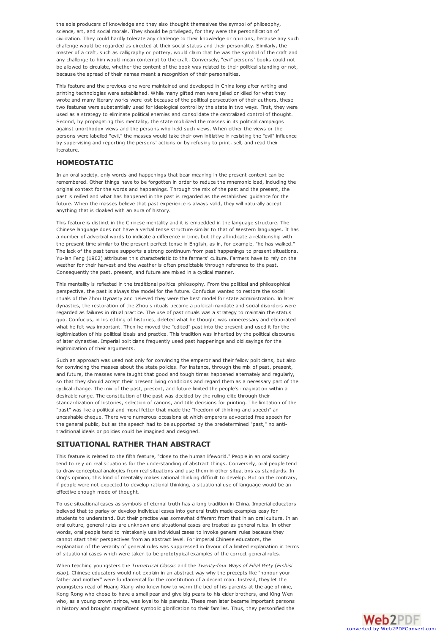the sole producers of knowledge and they also thought themselves the symbol of philosophy, science, art, and social morals. They should be privileged, for they were the personification of civilization. They could hardly tolerate any challenge to their knowledge or opinions, because any such challenge would be regarded as directed at their social status and their personality. Similarly, the master of a craft, such as calligraphy or pottery, would claim that he was the symbol of the craft and any challenge to him would mean contempt to the craft. Conversely, "evil" persons' books could not be allowed to circulate, whether the content of the book was related to their political standing or not, because the spread of their names meant a recognition of their personalities.

This feature and the previous one were maintained and developed in China long after writing and printing technologies were established. While many gifted men were jailed or killed for what they wrote and many literary works were lost because of the political persecution of their authors, these two features were substantially used for ideological control by the state in two ways. First, they were used as a strategy to eliminate political enemies and consolidate the centralized control of thought. Second, by propagating this mentality, the state mobilized the masses in its political campaigns against unorthodox views and the persons who held such views. When either the views or the persons were labelled "evil," the masses would take their own initiative in resisting the "evil" influence by supervising and reporting the persons' actions or by refusing to print, sell, and read their literature.

#### **HOMEOSTATIC**

In an oral society, only words and happenings that bear meaning in the present context can be remembered. Other things have to be forgotten in order to reduce the mnemonic load, including the original context for the words and happenings. Through the mix of the past and the present, the past is reified and what has happened in the past is regarded as the established guidance for the future. When the masses believe that past experience is always valid, they will naturally accept anything that is cloaked with an aura of history.

This feature is distinct in the Chinese mentality and it is embedded in the language structure. The Chinese language does not have a verbal tense structure similar to that of Western languages. It has a number of adverbial words to indicate a difference in time, but they all indicate a relationship with the present time similar to the present perfect tense in English, as in, for example, "he has walked." The lack of the past tense supports a strong continuum from past happenings to present situations. Yu-lan Feng (1962) attributes this characteristic to the farmers' culture. Farmers have to rely on the weather for their harvest and the weather is often predictable through reference to the past. Consequently the past, present, and future are mixed in a cyclical manner.

This mentality is reflected in the traditional political philosophy. From the political and philosophical perspective, the past is always the model for the future. Confucius wanted to restore the social rituals of the Zhou Dynasty and believed they were the best model for state administration. In later dynasties, the restoration of the Zhou's rituals became a political mandate and social disorders were regarded as failures in ritual practice. The use of past rituals was a strategy to maintain the status quo. Confucius, in his editing of histories, deleted what he thought was unnecessary and elaborated what he felt was important. Then he moved the "edited" past into the present and used it for the legitimization of his political ideals and practice. This tradition was inherited by the political discourse of later dynasties. Imperial politicians frequently used past happenings and old sayings for the legitimization of their arguments.

Such an approach was used not only for convincing the emperor and their fellow politicians, but also for convincing the masses about the state policies. For instance, through the mix of past, present, and future, the masses were taught that good and tough times happened alternately and regularly, so that they should accept their present living conditions and regard them as a necessary part of the cyclical change. The mix of the past, present, and future limited the people's imagination within a desirable range. The constitution of the past was decided by the ruling elite through their standardization of histories, selection of canons, and title decisions for printing. The limitation of the "past" was like a political and moral fetter that made the "freedom of thinking and speech" an uncashable cheque. There were numerous occasions at which emperors advocated free speech for the general public, but as the speech had to be supported by the predetermined "past," no antitraditional ideals or policies could be imagined and designed.

#### **SITUATIONAL RATHER THAN ABSTRACT**

This feature is related to the fifth feature, "close to the human lifeworld." People in an oral society tend to rely on real situations for the understanding of abstract things. Conversely, oral people tend to draw conceptual analogies from real situations and use them in other situations as standards. In Ong's opinion, this kind of mentality makes rational thinking difficult to develop. But on the contrary, if people were not expected to develop rational thinking, a situational use of language would be an effective enough mode of thought.

To use situational cases as symbols of eternal truth has a long tradition in China. Imperial educators believed that to parlay or develop individual cases into general truth made examples easy for students to understand. But their practice was somewhat different from that in an oral culture. In an oral culture, general rules are unknown and situational cases are treated as general rules. In other words, oral people tend to mistakenly use individual cases to invoke general rules because they cannot start their perspectives from an abstract level. For imperial Chinese educators, the explanation of the veracity of general rules was suppressed in favour of a limited explanation in terms of situational cases which were taken to be prototypical examples of the correct general rules.

When teaching youngsters the *Trimetrical Classic* and the *Twenty-four Ways of Filial Piety* (*Ershisi xiao*), Chinese educators would not explain in an abstract way why the precepts like "honour your father and mother" were fundamental for the constitution of a decent man. Instead, they let the youngsters read of Huang Xiang who knew how to warm the bed of his parents at the age of nine, Kong Rong who chose to have a small pear and give big pears to his elder brothers, and King Wen who, as a young crown prince, was loyal to his parents. These men later became important persons in history and brought magnificent symbolic glorification to their families. Thus, they personified the

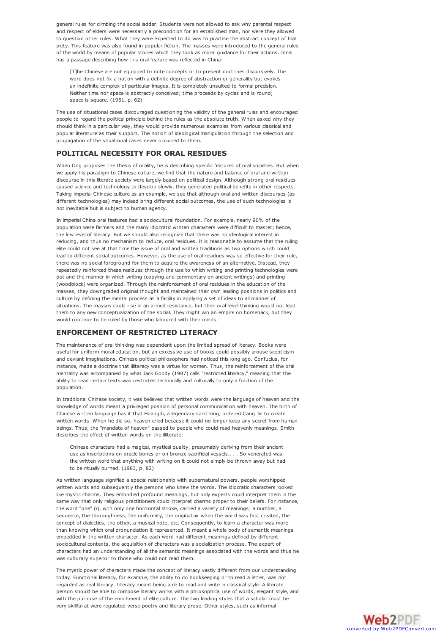general rules for climbing the social ladder. Students were not allowed to ask why parental respect and respect of elders were necessarily a precondition for an established man, nor were they allowed to question other rules. What they were expected to do was to practise the abstract concept of filial piety. This feature was also found in popular fiction. The masses were introduced to the general rules of the world by means of popular stories which they took as moral guidance for their actions. Innis has a passage describing how this oral feature was reflected in China:

[T]he Chinese are not equipped to note concepts or to present doctrines discursively. The word does not fix a notion with a definite degree of abstraction or generality but evokes an indefinite complex of particular images. It is completely unsuited to formal precision. Neither time nor space is abstractly conceived; time proceeds by cycles and is round; space is square. (1951, p. 62)

The use of situational cases discouraged questioning the validity of the general rules and encouraged people to regard the political principle behind the rules as the absolute truth. When asked why they should think in a particular way, they would provide numerous examples from various classical and popular literature as their support. The notion of ideological manipulation through the selection and propagation of the situational cases never occurred to them.

## **POLITICAL NECESSITY FOR ORAL RESIDUES**

When Ong proposes the thesis of orality, he is describing specific features of oral societies. But when we apply his paradigm to Chinese culture, we find that the nature and balance of oral and written discourse in this literate society were largely based on political design. Although strong oral residues caused science and technology to develop slowly, they generated political benefits in other respects. Taking imperial Chinese culture as an example, we see that although oral and written discourses (as different technologies) may indeed bring different social outcomes, the use of such technologies is not inevitable but is subject to human agency.

In imperial China oral features had a sociocultural foundation. For example, nearly 90% of the population were farmers and the many idiocratic written characters were difficult to master; hence, the low level of literacy. But we should also recognize that there was no ideological interest in reducing, and thus no mechanism to reduce, oral residues. It is reasonable to assume that the ruling elite could not see at that time the issue of oral and written traditions as two options which could lead to different social outcomes. However, as the use of oral residues was so effective for their rule, there was no social foreground for them to acquire the awareness of an alternative. Instead, they repeatedly reinforced these residues through the use to which writing and printing technologies were put and the manner in which writing (copying and commentary on ancient writings) and printing (woodblock) were organized. Through the reinforcement of oral residues in the education of the masses, they downgraded original thought and maintained their own leading positions in politics and culture by defining the mental process as a facility in applying a set of ideas to all manner of situations. The masses could rise in an armed resistance, but their oral-level thinking would not lead them to any new conceptualization of the social. They might win an empire on horseback, but they would continue to be ruled by those who laboured with their minds.

## **ENFORCEMENT OF RESTRICTED LITERACY**

The maintenance of oral thinking was dependent upon the limited spread of literacy. Books were useful for uniform moral education, but an excessive use of books could possibly arouse scepticism and deviant imaginations. Chinese political philosophers had noticed this long ago. Confucius, for instance, made a doctrine that illiteracy was a virtue for women. Thus, the reinforcement of the oral mentality was accompanied by what Jack Goody (1987) calls "restricted literacy," meaning that the ability to read certain texts was restricted technically and culturally to only a fraction of the population.

In traditional Chinese society, it was believed that written words were the language of heaven and the knowledge of words meant a privileged position of personal communication with heaven. The birth of Chinese written language has it that Huangdi, a legendary saint king, ordered Cang Jie to create written words. When he did so, heaven cried because it could no longer keep any secret from human beings. Thus, the "mandate of heaven" passed to people who could read heavenly meanings. Smith describes the effect of written words on the illiterate:

Chinese characters had a magical, mystical quality, presumably deriving from their ancient use as inscriptions on oracle bones or on bronze sacrificial vessels.. . . So venerated was the written word that anything with writing on it could not simply be thrown away but had to be ritually burned. (1983, p. 82)

As written language signified a special relationship with supernatural powers, people worshipped written words and subsequently the persons who knew the words. The idiocratic characters looked like mystic charms. They embodied profound meanings, but only experts could interpret them in the same way that only religious practitioners could interpret charms proper to their beliefs. For instance, the word "one" (*i*), with only one horizontal stroke, carried a variety of meanings: a number, a sequence, the thoroughness, the uniformity, the original air when the world was first created, the concept of dialectics, the other, a musical note, etc. Consequently, to learn a character was more than knowing which oral pronunciation it represented. It meant a whole body of semantic meanings embedded in the written character. As each word had different meanings defined by different sociocultural contexts, the acquisition of characters was a socialization process. The expert of characters had an understanding of all the semantic meanings associated with the words and thus he was culturally superior to those who could not read them.

The mystic power of characters made the concept of literacy vastly different from our understanding today. Functional literacy, for example, the ability to do bookkeeping or to read a letter, was not regarded as real literacy. Literacy meant being able to read and write in classical style. A literate person should be able to compose literary works with a philosophical use of words, elegant style, and with the purpose of the enrichment of elite culture. The two leading styles that a scholar must be very skillful at were regulated verse poetry and literary prose. Other styles, such as informal

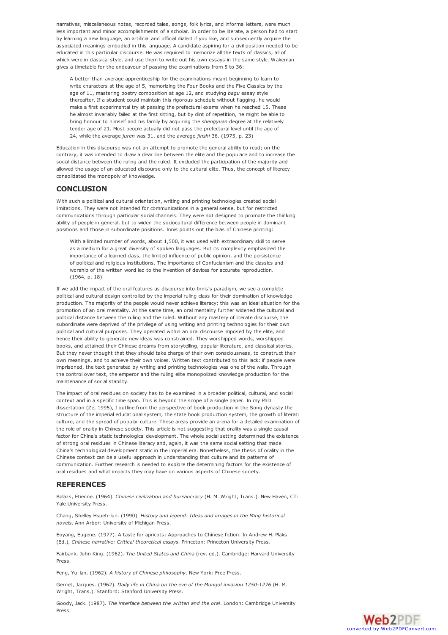narratives, miscellaneous notes, recorded tales, songs, folk lyrics, and informal letters, were much less important and minor accomplishments of a scholar. In order to be literate, a person had to start by learning a new language, an artificial and official dialect if you like, and subsequently acquire the associated meanings embodied in this language. A candidate aspiring for a civil position needed to be educated in this particular discourse. He was required to memorize all the texts of classics, all of which were in classical style, and use them to write out his own essays in the same style. Wakeman gives a timetable for the endeavour of passing the examinations from 5 to 36:

A better-than-average apprenticeship for the examinations meant beginning to learn to write characters at the age of 5, memorizing the Four Books and the Five Classics by the age of 11, mastering poetry composition at age 12, and studying *bagu* essay style thereafter. If a student could maintain this rigorous schedule without flagging, he would make a first experimental try at passing the prefectural exams when he reached 15. These he almost invariably failed at the first sitting, but by dint of repetition, he might be able to bring honour to himself and his family by acquiring the *shengyuan* degree at the relatively tender age of 21. Most people actually did not pass the prefectural level until the age of 24, while the average *juren* was 31, and the average *jinshi* 36. (1975, p. 23)

Education in this discourse was not an attempt to promote the general ability to read; on the contrary, it was intended to draw a clear line between the elite and the populace and to increase the social distance between the ruling and the ruled. It excluded the participation of the majority and allowed the usage of an educated discourse only to the cultural elite. Thus, the concept of literacy consolidated the monopoly of knowledge.

#### **CONCLUSION**

With such a political and cultural orientation, writing and printing technologies created social limitations. They were not intended for communications in a general sense, but for restricted communications through particular social channels. They were not designed to promote the thinking ability of people in general, but to widen the sociocultural difference between people in dominant positions and those in subordinate positions. Innis points out the bias of Chinese printing:

With a limited number of words, about 1,500, it was used with extraordinary skill to serve as a medium for a great diversity of spoken languages. But its complexity emphasized the importance of a learned class, the limited influence of public opinion, and the persistence of political and religious institutions. The importance of Confucianism and the classics and worship of the written word led to the invention of devices for accurate reproduction. (1964, p. 18)

If we add the impact of the oral features as discourse into Innis's paradigm, we see a complete political and cultural design controlled by the imperial ruling class for their domination of knowledge production. The majority of the people would never achieve literacy; this was an ideal situation for the promotion of an oral mentality. At the same time, an oral mentality further widened the cultural and political distance between the ruling and the ruled. Without any mastery of literate discourse, the subordinate were deprived of the privilege of using writing and printing technologies for their own political and cultural purposes. They operated within an oral discourse imposed by the elite, and hence their ability to generate new ideas was constrained. They worshipped words, worshipped books, and attained their Chinese dreams from storytelling, popular literature, and classical stories. But they never thought that they should take charge of their own consciousness, to construct their own meanings, and to achieve their own voices. Written text contributed to this lack: if people were imprisoned, the text generated by writing and printing technologies was one of the walls. Through the control over text, the emperor and the ruling elite monopolized knowledge production for the maintenance of social stability.

The impact of oral residues on society has to be examined in a broader political, cultural, and social context and in a specific time span. This is beyond the scope of a single paper. In my PhD dissertation (Ze, 1995), I outline from the perspective of book production in the Song dynasty the structure of the imperial educational system, the state book production system, the growth of literati culture, and the spread of popular culture. These areas provide an arena for a detailed examination of the role of orality in Chinese society. This article is not suggesting that orality was a single causal factor for China's static technological development. The whole social setting determined the existence of strong oral residues in Chinese literacy and, again, it was the same social setting that made China's technological development static in the imperial era. Nonetheless, the thesis of orality in the Chinese context can be a useful approach in understanding that culture and its patterns of communication. Further research is needed to explore the determining factors for the existence of oral residues and what impacts they may have on various aspects of Chinese society.

#### **REFERENCES**

Balazs, Etienne. (1964). *Chinese civilization and bureaucracy* (H. M. Wright, Trans.). New Haven, CT: Yale University Press.

Chang, Shelley Hsueh-lun. (1990). *History and legend: Ideas and images in the Ming historical novels*. Ann Arbor: University of Michigan Press.

Eoyang, Eugene. (1977). A taste for apricots: Approaches to Chinese fiction. In Andrew H. Plaks (Ed.), *Chinese narrative: Critical theoretical essays*. Princeton: Princeton University Press.

Fairbank, John King. (1962). *The United States and China* (rev. ed.). Cambridge: Harvard University Press.

Feng, Yu-lan. (1962). *A history of Chinese philosophy*. New York: Free Press.

Gernet, Jacques. (1962). *Daily life in China on the eve of the Mongol invasion 1250-1276* (H. M. Wright, Trans.). Stanford: Stanford University Press.

Goody, Jack. (1987). *The interface between the written and the oral*. London: Cambridge University Press.